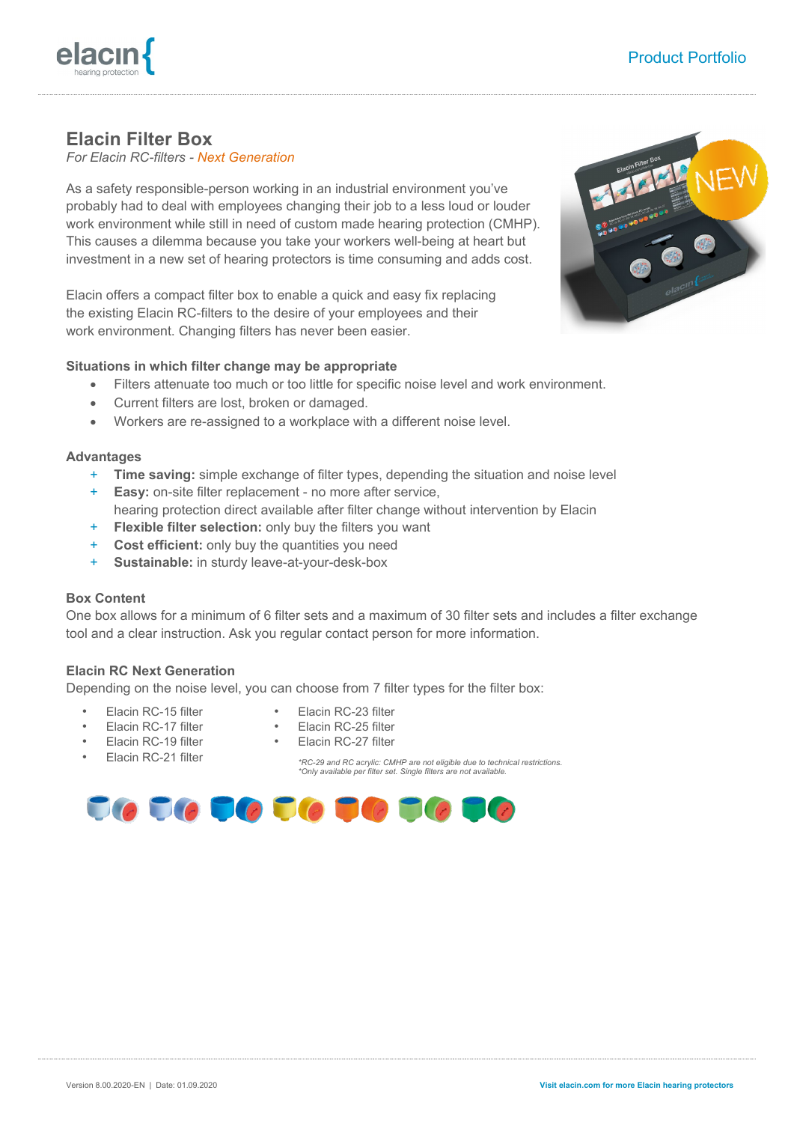# **Elacin Filter Box**

*For Elacin RC-filters - Next Generation*

As a safety responsible-person working in an industrial environment you've probably had to deal with employees changing their job to a less loud or louder work environment while still in need of custom made hearing protection (CMHP). This causes a dilemma because you take your workers well-being at heart but investment in a new set of hearing protectors is time consuming and adds cost.

Elacin offers a compact filter box to enable a quick and easy fix replacing the existing Elacin RC-filters to the desire of your employees and their work environment. Changing filters has never been easier.

## **Situations in which filter change may be appropriate**

- Filters attenuate too much or too little for specific noise level and work environment.
- Current filters are lost, broken or damaged.
- Workers are re-assigned to a workplace with a different noise level.

#### **Advantages**

- + **Time saving:** simple exchange of filter types, depending the situation and noise level
- **Easy:** on-site filter replacement no more after service, hearing protection direct available after filter change without intervention by Elacin
- + **Flexible filter selection:** only buy the filters you want
- + **Cost efficient:** only buy the quantities you need
- **Sustainable:** in sturdy leave-at-your-desk-box

## **Box Content**

One box allows for a minimum of 6 filter sets and a maximum of 30 filter sets and includes a filter exchange tool and a clear instruction. Ask you regular contact person for more information.

## **Elacin RC Next Generation**

Depending on the noise level, you can choose from 7 filter types for the filter box:

- Elacin RC-15 filter
- Elacin RC-17 filter
- Elacin RC-19 filter
- Elacin RC-21 filter
- Elacin RC-23 filter
- Elacin RC-25 filter
- Elacin RC-27 filter

*\*RC-29 and RC acrylic: CMHP are not eligible due to technical restrictions. \*Only available per filter set. Single filters are not available.*